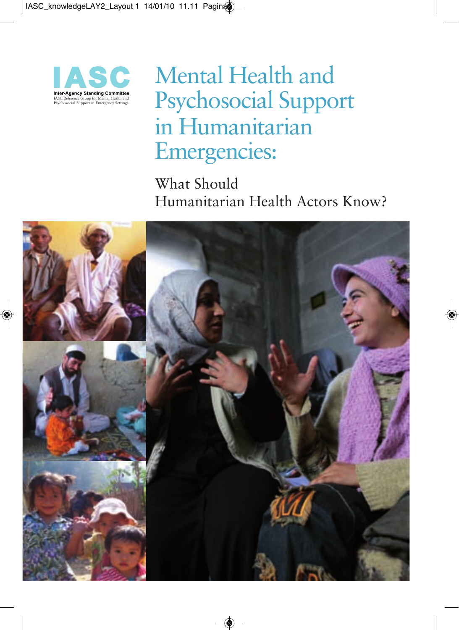

Mental Health and Psychosocial Support in Humanitarian Emergencies:

What Should Humanitarian Health Actors Know?

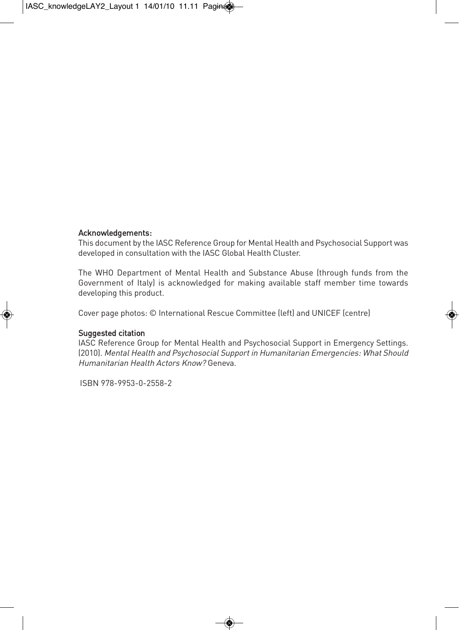#### Acknowledgements:

This document by the IASC Reference Group for Mental Health and Psychosocial Support was developed in consultation with the IASC Global Health Cluster.

The WHO Department of Mental Health and Substance Abuse (through funds from the Government of Italy) is acknowledged for making available staff member time towards developing this product.

Cover page photos: © International Rescue Committee (left) and UNICEF (centre)

#### Suggested citation

IASC Reference Group for Mental Health and Psychosocial Support in Emergency Settings. (2010). Mental Health and Psychosocial Support in Humanitarian Emergencies: What Should Humanitarian Health Actors Know? Geneva.

ISBN 978-9953-0-2558-2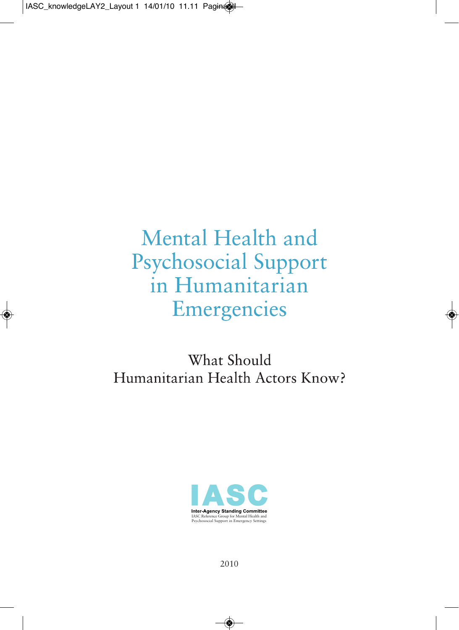# Mental Health and **Psychosocial Support** in Humanitarian Emergencies

What Should Humanitarian Health Actors Know?

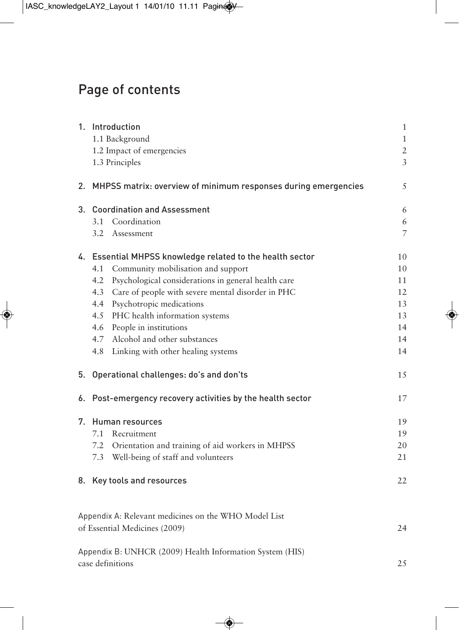# Page of contents

| 1. Introduction                                                   | 1              |
|-------------------------------------------------------------------|----------------|
| 1.1 Background                                                    | $\mathbf{1}$   |
| 1.2 Impact of emergencies                                         | $\overline{2}$ |
| 1.3 Principles                                                    | 3              |
| 2. MHPSS matrix: overview of minimum responses during emergencies | 5              |
| 3. Coordination and Assessment                                    | 6              |
| 3.1 Coordination                                                  | 6              |
| 3.2<br>Assessment                                                 | 7              |
| 4. Essential MHPSS knowledge related to the health sector         | 10             |
| Community mobilisation and support<br>4.1                         | 10             |
| 4.2<br>Psychological considerations in general health care        | 11             |
| 4.3<br>Care of people with severe mental disorder in PHC          | 12             |
| Psychotropic medications<br>4.4                                   | 13             |
| PHC health information systems<br>4.5                             | 13             |
| People in institutions<br>4.6                                     | 14             |
| Alcohol and other substances<br>4.7                               | 14             |
| Linking with other healing systems<br>4.8                         | 14             |
| 5. Operational challenges: do's and don'ts                        | 15             |
| 6. Post-emergency recovery activities by the health sector        | 17             |
| 7. Human resources                                                | 19             |
| 7.1 Recruitment                                                   | 19             |
| 7.2 Orientation and training of aid workers in MHPSS              | 20             |
| 7.3 Well-being of staff and volunteers                            | 21             |
| 8. Key tools and resources                                        | 22             |
| Appendix A: Relevant medicines on the WHO Model List              |                |
| of Essential Medicines (2009)                                     | 24             |
| Appendix B: UNHCR (2009) Health Information System (HIS)          |                |
| case definitions                                                  | 25             |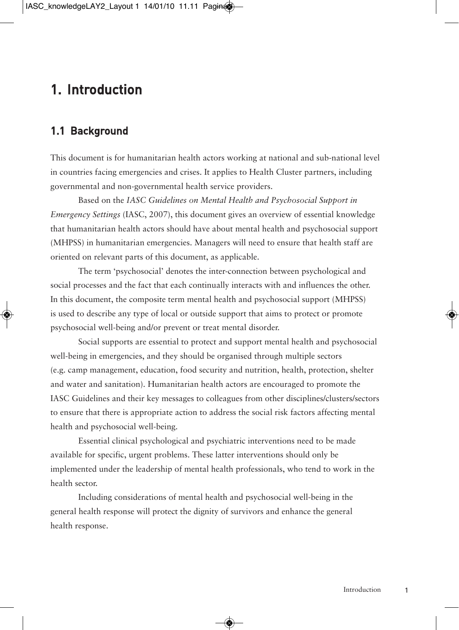# 1. Introduction

## 1.1 Background

This document is for humanitarian health actors working at national and sub-national level in countries facing emergencies and crises. It applies to Health Cluster partners, including governmental and non-governmental health service providers.

Based on the *IASC Guidelines on Mental Health and Psychosocial Support in Emergency Settings* (IASC, 2007), this document gives an overview of essential knowledge that humanitarian health actors should have about mental health and psychosocial support (MHPSS) in humanitarian emergencies. Managers will need to ensure that health staff are oriented on relevant parts of this document, as applicable.

The term 'psychosocial' denotes the inter-connection between psychological and social processes and the fact that each continually interacts with and influences the other. In this document, the composite term mental health and psychosocial support (MHPSS) is used to describe any type of local or outside support that aims to protect or promote psychosocial well-being and/or prevent or treat mental disorder.

Social supports are essential to protect and support mental health and psychosocial well-being in emergencies, and they should be organised through multiple sectors (e.g. camp management, education, food security and nutrition, health, protection, shelter and water and sanitation). Humanitarian health actors are encouraged to promote the IASC Guidelines and their key messages to colleagues from other disciplines/clusters/sectors to ensure that there is appropriate action to address the social risk factors affecting mental health and psychosocial well-being.

Essential clinical psychological and psychiatric interventions need to be made available for specific, urgent problems. These latter interventions should only be implemented under the leadership of mental health professionals, who tend to work in the health sector.

Including considerations of mental health and psychosocial well-being in the general health response will protect the dignity of survivors and enhance the general health response.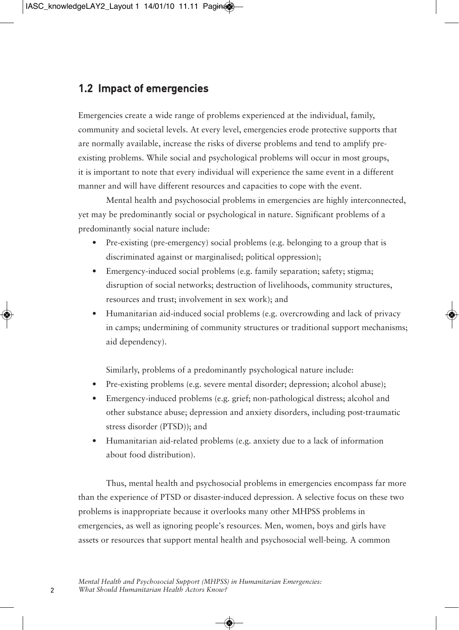## 1.2 Impact of emergencies

Emergencies create a wide range of problems experienced at the individual, family, community and societal levels. At every level, emergencies erode protective supports that are normally available, increase the risks of diverse problems and tend to amplify preexisting problems. While social and psychological problems will occur in most groups, it is important to note that every individual will experience the same event in a different manner and will have different resources and capacities to cope with the event.

Mental health and psychosocial problems in emergencies are highly interconnected, yet may be predominantly social or psychological in nature. Significant problems of a predominantly social nature include:

- Pre-existing (pre-emergency) social problems (e.g. belonging to a group that is discriminated against or marginalised; political oppression);
- Emergency-induced social problems (e.g. family separation; safety; stigma; disruption of social networks; destruction of livelihoods, community structures, resources and trust; involvement in sex work); and
- Humanitarian aid-induced social problems (e.g. overcrowding and lack of privacy in camps; undermining of community structures or traditional support mechanisms; aid dependency).

Similarly, problems of a predominantly psychological nature include:

- Pre-existing problems (e.g. severe mental disorder; depression; alcohol abuse);
- Emergency-induced problems (e.g. grief; non-pathological distress; alcohol and other substance abuse; depression and anxiety disorders, including post-traumatic stress disorder (PTSD)); and
- Humanitarian aid-related problems (e.g. anxiety due to a lack of information about food distribution).

Thus, mental health and psychosocial problems in emergencies encompass far more than the experience of PTSD or disaster-induced depression. A selective focus on these two problems is inappropriate because it overlooks many other MHPSS problems in emergencies, as well as ignoring people's resources. Men, women, boys and girls have assets or resources that support mental health and psychosocial well-being. A common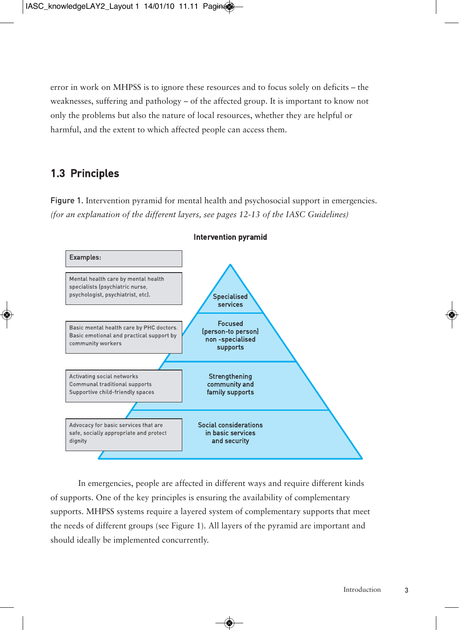error in work on MHPSS is to ignore these resources and to focus solely on deficits – the weaknesses, suffering and pathology – of the affected group. It is important to know not only the problems but also the nature of local resources, whether they are helpful or harmful, and the extent to which affected people can access them.

## 1.3 Principles

Figure 1. Intervention pyramid for mental health and psychosocial support in emergencies. *(for an explanation of the different layers, see pages 12-13 of the IASC Guidelines)*



Intervention pyramid

In emergencies, people are affected in different ways and require different kinds of supports. One of the key principles is ensuring the availability of complementary supports. MHPSS systems require a layered system of complementary supports that meet the needs of different groups (see Figure 1). All layers of the pyramid are important and should ideally be implemented concurrently.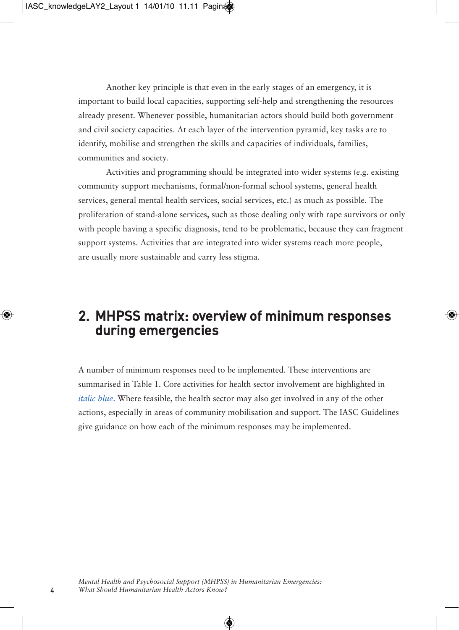Another key principle is that even in the early stages of an emergency, it is important to build local capacities, supporting self-help and strengthening the resources already present. Whenever possible, humanitarian actors should build both government and civil society capacities. At each layer of the intervention pyramid, key tasks are to identify, mobilise and strengthen the skills and capacities of individuals, families, communities and society.

Activities and programming should be integrated into wider systems (e.g. existing community support mechanisms, formal/non-formal school systems, general health services, general mental health services, social services, etc.) as much as possible. The proliferation of stand-alone services, such as those dealing only with rape survivors or only with people having a specific diagnosis, tend to be problematic, because they can fragment support systems. Activities that are integrated into wider systems reach more people, are usually more sustainable and carry less stigma.

# 2. MHPSS matrix: overview of minimum responses during emergencies

A number of minimum responses need to be implemented. These interventions are summarised in Table 1. Core activities for health sector involvement are highlighted in *italic blue*. Where feasible, the health sector may also get involved in any of the other actions, especially in areas of community mobilisation and support. The IASC Guidelines give guidance on how each of the minimum responses may be implemented.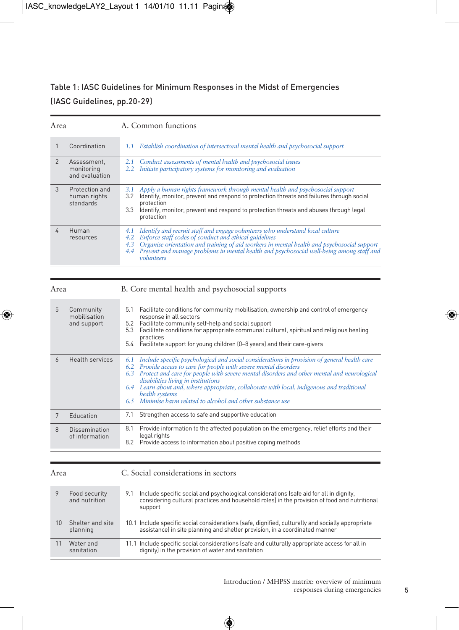## Table 1: IASC Guidelines for Minimum Responses in the Midst of Emergencies (IASC Guidelines, pp.20-29)

| Area           |                                             | A. Common functions                                                                                                                                                                                                                                                                                                                                                        |  |  |
|----------------|---------------------------------------------|----------------------------------------------------------------------------------------------------------------------------------------------------------------------------------------------------------------------------------------------------------------------------------------------------------------------------------------------------------------------------|--|--|
|                | Coordination                                | 1.1 Establish coordination of intersectoral mental health and psychosocial support                                                                                                                                                                                                                                                                                         |  |  |
| $\overline{2}$ | Assessment,<br>monitoring<br>and evaluation | Conduct assessments of mental health and psychosocial issues<br>2.1<br>Initiate participatory systems for monitoring and evaluation<br>2.2                                                                                                                                                                                                                                 |  |  |
| $\mathcal{R}$  | Protection and<br>human rights<br>standards | Apply a human rights framework through mental health and psychosocial support<br>3.1<br>Identify, monitor, prevent and respond to protection threats and failures through social<br>3.2<br>protection<br>Identify, monitor, prevent and respond to protection threats and abuses through legal<br>3.3<br>protection                                                        |  |  |
| 4              | Human<br>resources                          | Identify and recruit staff and engage volunteers who understand local culture<br>4.1<br>Enforce staff codes of conduct and ethical guidelines<br>4.2<br>Organise orientation and training of aid workers in mental health and psychosocial support<br>4.3<br>Prevent and manage problems in mental health and psychosocial well-being among staff and<br>4.4<br>volunteers |  |  |

| Area         |                                          | B. Core mental health and psychosocial supports                                                                                                                                                                                                                                                                                                                                                                                                                                                             |  |  |
|--------------|------------------------------------------|-------------------------------------------------------------------------------------------------------------------------------------------------------------------------------------------------------------------------------------------------------------------------------------------------------------------------------------------------------------------------------------------------------------------------------------------------------------------------------------------------------------|--|--|
| 5            | Community<br>mobilisation<br>and support | 5.1<br>Facilitate conditions for community mobilisation, ownership and control of emergency<br>response in all sectors<br>Facilitate community self-help and social support<br>5.2<br>Facilitate conditions for appropriate communal cultural, spiritual and religious healing<br>5.3<br>practices<br>5.4 Facilitate support for young children (0–8 years) and their care-givers                                                                                                                           |  |  |
| 6            | Health services                          | Include specific psychological and social considerations in provision of general health care<br>6.1<br>Provide access to care for people with severe mental disorders<br>6.2<br>Protect and care for people with severe mental disorders and other mental and neurological<br>6.3<br>disabilities living in institutions<br>6.4 Learn about and, where appropriate, collaborate with local, indigenous and traditional<br>health systems<br>Minimise harm related to alcohol and other substance use<br>6.5 |  |  |
| 7            | Education                                | 7.1 Strengthen access to safe and supportive education                                                                                                                                                                                                                                                                                                                                                                                                                                                      |  |  |
| $\mathsf{R}$ | Dissemination<br>of information          | Provide information to the affected population on the emergency, relief efforts and their<br>8.1<br>legal rights<br>Provide access to information about positive coping methods<br>8.2                                                                                                                                                                                                                                                                                                                      |  |  |

| Area           |                                | C. Social considerations in sectors                                                                                                                                                                      |  |  |
|----------------|--------------------------------|----------------------------------------------------------------------------------------------------------------------------------------------------------------------------------------------------------|--|--|
|                | Food security<br>and nutrition | Include specific social and psychological considerations (safe aid for all in dignity,<br>9.1<br>considering cultural practices and household roles) in the provision of food and nutritional<br>support |  |  |
| 1 <sub>0</sub> | Shelter and site<br>planning   | 10.1 Include specific social considerations (safe, dignified, culturally and socially appropriate assistance) in site planning and shelter provision, in a coordinated manner                            |  |  |
| 11             | Water and<br>sanitation        | 11.1 Include specific social considerations (safe and culturally appropriate access for all in<br>dignity) in the provision of water and sanitation                                                      |  |  |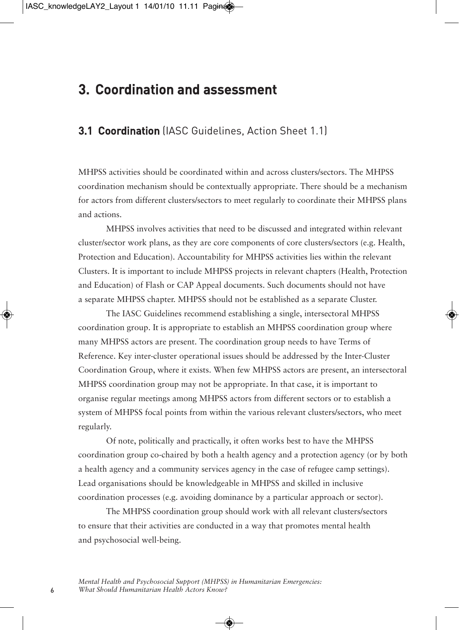# 3. Coordination and assessment

## 3.1 Coordination (IASC Guidelines, Action Sheet 1.1)

MHPSS activities should be coordinated within and across clusters/sectors. The MHPSS coordination mechanism should be contextually appropriate. There should be a mechanism for actors from different clusters/sectors to meet regularly to coordinate their MHPSS plans and actions.

MHPSS involves activities that need to be discussed and integrated within relevant cluster/sector work plans, as they are core components of core clusters/sectors (e.g. Health, Protection and Education). Accountability for MHPSS activities lies within the relevant Clusters. It is important to include MHPSS projects in relevant chapters (Health, Protection and Education) of Flash or CAP Appeal documents. Such documents should not have a separate MHPSS chapter. MHPSS should not be established as a separate Cluster.

The IASC Guidelines recommend establishing a single, intersectoral MHPSS coordination group. It is appropriate to establish an MHPSS coordination group where many MHPSS actors are present. The coordination group needs to have Terms of Reference. Key inter-cluster operational issues should be addressed by the Inter-Cluster Coordination Group, where it exists. When few MHPSS actors are present, an intersectoral MHPSS coordination group may not be appropriate. In that case, it is important to organise regular meetings among MHPSS actors from different sectors or to establish a system of MHPSS focal points from within the various relevant clusters/sectors, who meet regularly.

Of note, politically and practically, it often works best to have the MHPSS coordination group co-chaired by both a health agency and a protection agency (or by both a health agency and a community services agency in the case of refugee camp settings). Lead organisations should be knowledgeable in MHPSS and skilled in inclusive coordination processes (e.g. avoiding dominance by a particular approach or sector).

The MHPSS coordination group should work with all relevant clusters/sectors to ensure that their activities are conducted in a way that promotes mental health and psychosocial well-being.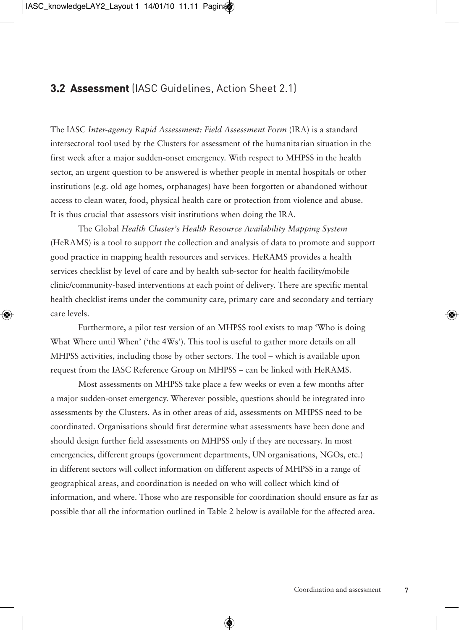### 3.2 Assessment (IASC Guidelines, Action Sheet 2.1)

The IASC *Inter-agency Rapid Assessment: Field Assessment Form* (IRA) is a standard intersectoral tool used by the Clusters for assessment of the humanitarian situation in the first week after a major sudden-onset emergency. With respect to MHPSS in the health sector, an urgent question to be answered is whether people in mental hospitals or other institutions (e.g. old age homes, orphanages) have been forgotten or abandoned without access to clean water, food, physical health care or protection from violence and abuse. It is thus crucial that assessors visit institutions when doing the IRA.

The Global *Health Cluster's Health Resource Availability Mapping System* (HeRAMS) is a tool to support the collection and analysis of data to promote and support good practice in mapping health resources and services. HeRAMS provides a health services checklist by level of care and by health sub-sector for health facility/mobile clinic/community-based interventions at each point of delivery. There are specific mental health checklist items under the community care, primary care and secondary and tertiary care levels.

Furthermore, a pilot test version of an MHPSS tool exists to map 'Who is doing What Where until When' ('the 4Ws'). This tool is useful to gather more details on all MHPSS activities, including those by other sectors. The tool – which is available upon request from the IASC Reference Group on MHPSS – can be linked with HeRAMS.

Most assessments on MHPSS take place a few weeks or even a few months after a major sudden-onset emergency. Wherever possible, questions should be integrated into assessments by the Clusters. As in other areas of aid, assessments on MHPSS need to be coordinated. Organisations should first determine what assessments have been done and should design further field assessments on MHPSS only if they are necessary. In most emergencies, different groups (government departments, UN organisations, NGOs, etc.) in different sectors will collect information on different aspects of MHPSS in a range of geographical areas, and coordination is needed on who will collect which kind of information, and where. Those who are responsible for coordination should ensure as far as possible that all the information outlined in Table 2 below is available for the affected area.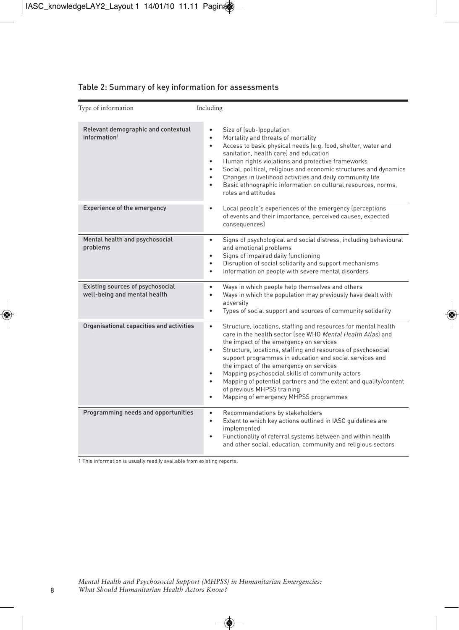| Type of information                                              | Including                                                                                                                                                                                                                                                                                                                                                                                                                                                                                                                                                                        |
|------------------------------------------------------------------|----------------------------------------------------------------------------------------------------------------------------------------------------------------------------------------------------------------------------------------------------------------------------------------------------------------------------------------------------------------------------------------------------------------------------------------------------------------------------------------------------------------------------------------------------------------------------------|
| Relevant demographic and contextual<br>information <sup>1</sup>  | Size of (sub-)population<br>٠<br>Mortality and threats of mortality<br>$\bullet$<br>Access to basic physical needs (e.g. food, shelter, water and<br>$\bullet$<br>sanitation, health carel and education<br>Human rights violations and protective frameworks<br>٠<br>Social, political, religious and economic structures and dynamics<br>٠<br>Changes in livelihood activities and daily community life<br>$\bullet$<br>Basic ethnographic information on cultural resources, norms,<br>٠<br>roles and attitudes                                                               |
| Experience of the emergency                                      | Local people's experiences of the emergency (perceptions<br>$\bullet$<br>of events and their importance, perceived causes, expected<br>consequences)                                                                                                                                                                                                                                                                                                                                                                                                                             |
| Mental health and psychosocial<br>problems                       | Signs of psychological and social distress, including behavioural<br>$\bullet$<br>and emotional problems<br>Signs of impaired daily functioning<br>$\bullet$<br>Disruption of social solidarity and support mechanisms<br>$\bullet$<br>Information on people with severe mental disorders<br>$\bullet$                                                                                                                                                                                                                                                                           |
| Existing sources of psychosocial<br>well-being and mental health | Ways in which people help themselves and others<br>٠<br>٠<br>Ways in which the population may previously have dealt with<br>adversity<br>Types of social support and sources of community solidarity<br>$\bullet$                                                                                                                                                                                                                                                                                                                                                                |
| Organisational capacities and activities                         | Structure, locations, staffing and resources for mental health<br>$\bullet$<br>care in the health sector (see WHO Mental Health Atlas) and<br>the impact of the emergency on services<br>Structure, locations, staffing and resources of psychosocial<br>٠<br>support programmes in education and social services and<br>the impact of the emergency on services<br>Mapping psychosocial skills of community actors<br>Mapping of potential partners and the extent and quality/content<br>$\bullet$<br>of previous MHPSS training<br>Mapping of emergency MHPSS programmes<br>٠ |
| Programming needs and opportunities                              | Recommendations by stakeholders<br>$\bullet$<br>Extent to which key actions outlined in IASC quidelines are<br>$\bullet$<br>implemented<br>Functionality of referral systems between and within health<br>$\bullet$<br>and other social, education, community and religious sectors                                                                                                                                                                                                                                                                                              |

#### Table 2: Summary of key information for assessments

1 This information is usually readily available from existing reports.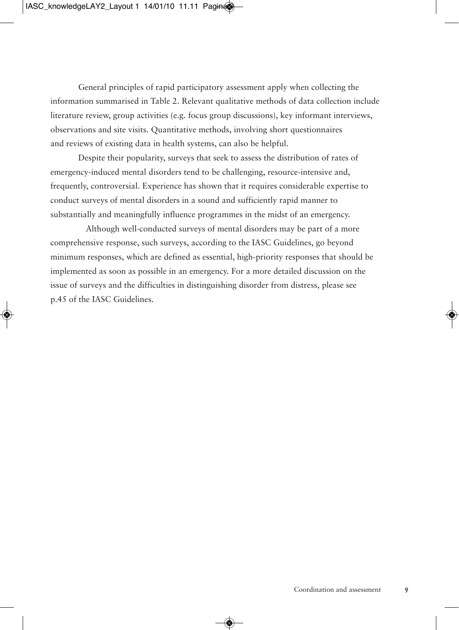General principles of rapid participatory assessment apply when collecting the information summarised in Table 2. Relevant qualitative methods of data collection include literature review, group activities (e.g. focus group discussions), key informant interviews, observations and site visits. Quantitative methods, involving short questionnaires and reviews of existing data in health systems, can also be helpful.

Despite their popularity, surveys that seek to assess the distribution of rates of emergency-induced mental disorders tend to be challenging, resource-intensive and, frequently, controversial. Experience has shown that it requires considerable expertise to conduct surveys of mental disorders in a sound and sufficiently rapid manner to substantially and meaningfully influence programmes in the midst of an emergency.

Although well-conducted surveys of mental disorders may be part of a more comprehensive response, such surveys, according to the IASC Guidelines, go beyond minimum responses, which are defined as essential, high-priority responses that should be implemented as soon as possible in an emergency. For a more detailed discussion on the issue of surveys and the difficulties in distinguishing disorder from distress, please see p.45 of the IASC Guidelines.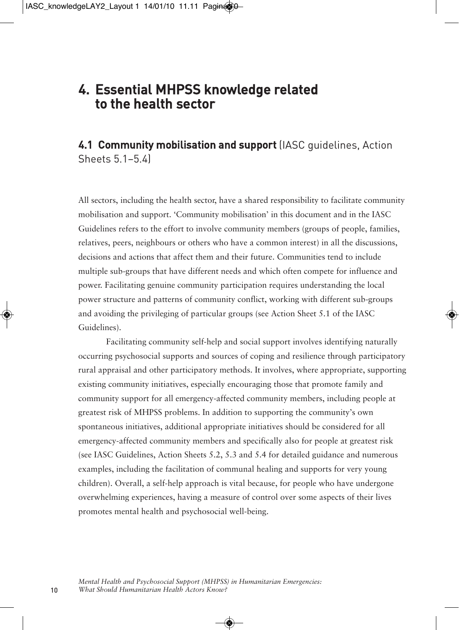# 4. Essential MHPSS knowledge related to the health sector

## 4.1 Community mobilisation and support (IASC quidelines, Action Sheets 5.1–5.4)

All sectors, including the health sector, have a shared responsibility to facilitate community mobilisation and support. 'Community mobilisation' in this document and in the IASC Guidelines refers to the effort to involve community members (groups of people, families, relatives, peers, neighbours or others who have a common interest) in all the discussions, decisions and actions that affect them and their future. Communities tend to include multiple sub-groups that have different needs and which often compete for influence and power. Facilitating genuine community participation requires understanding the local power structure and patterns of community conflict, working with different sub-groups and avoiding the privileging of particular groups (see Action Sheet 5.1 of the IASC Guidelines).

Facilitating community self-help and social support involves identifying naturally occurring psychosocial supports and sources of coping and resilience through participatory rural appraisal and other participatory methods. It involves, where appropriate, supporting existing community initiatives, especially encouraging those that promote family and community support for all emergency-affected community members, including people at greatest risk of MHPSS problems. In addition to supporting the community's own spontaneous initiatives, additional appropriate initiatives should be considered for all emergency-affected community members and specifically also for people at greatest risk (see IASC Guidelines, Action Sheets 5.2, 5.3 and 5.4 for detailed guidance and numerous examples, including the facilitation of communal healing and supports for very young children). Overall, a self-help approach is vital because, for people who have undergone overwhelming experiences, having a measure of control over some aspects of their lives promotes mental health and psychosocial well-being.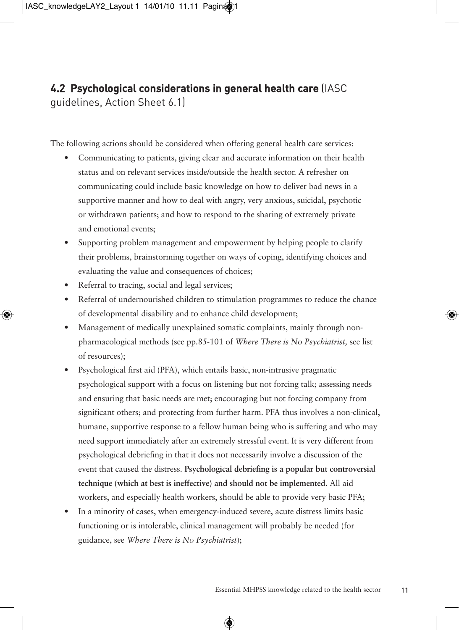# 4.2 Psychological considerations in general health care (IASC

guidelines, Action Sheet 6.1)

The following actions should be considered when offering general health care services:

- Communicating to patients, giving clear and accurate information on their health status and on relevant services inside/outside the health sector. A refresher on communicating could include basic knowledge on how to deliver bad news in a supportive manner and how to deal with angry, very anxious, suicidal, psychotic or withdrawn patients; and how to respond to the sharing of extremely private and emotional events;
- Supporting problem management and empowerment by helping people to clarify their problems, brainstorming together on ways of coping, identifying choices and evaluating the value and consequences of choices;
- Referral to tracing, social and legal services;
- Referral of undernourished children to stimulation programmes to reduce the chance of developmental disability and to enhance child development;
- Management of medically unexplained somatic complaints, mainly through nonpharmacological methods (see pp.85-101 of *Where There is No Psychiatrist,* see list of resources);
- Psychological first aid (PFA), which entails basic, non-intrusive pragmatic psychological support with a focus on listening but not forcing talk; assessing needs and ensuring that basic needs are met; encouraging but not forcing company from significant others; and protecting from further harm. PFA thus involves a non-clinical, humane, supportive response to a fellow human being who is suffering and who may need support immediately after an extremely stressful event. It is very different from psychological debriefing in that it does not necessarily involve a discussion of the event that caused the distress. **Psychological debriefing is a popular but controversial technique (which at best is ineffective) and should not be implemented.** All aid workers, and especially health workers, should be able to provide very basic PFA;
- In a minority of cases, when emergency-induced severe, acute distress limits basic functioning or is intolerable, clinical management will probably be needed (for guidance, see *Where There is No Psychiatrist*);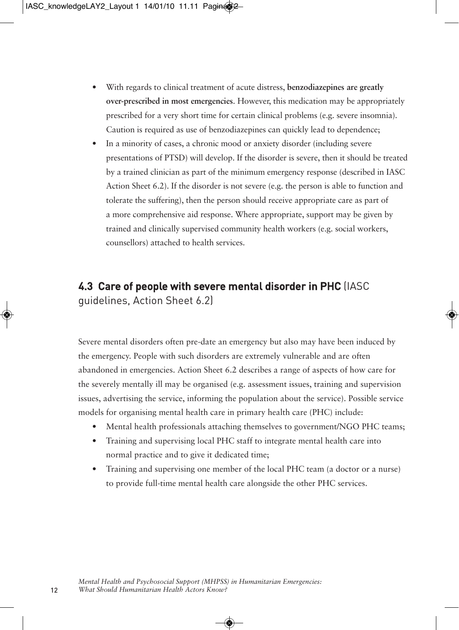- With regards to clinical treatment of acute distress, **benzodiazepines are greatly over-prescribed in most emergencies**. However, this medication may be appropriately prescribed for a very short time for certain clinical problems (e.g. severe insomnia). Caution is required as use of benzodiazepines can quickly lead to dependence;
- In a minority of cases, a chronic mood or anxiety disorder (including severe presentations of PTSD) will develop. If the disorder is severe, then it should be treated by a trained clinician as part of the minimum emergency response (described in IASC Action Sheet 6.2). If the disorder is not severe (e.g. the person is able to function and tolerate the suffering), then the person should receive appropriate care as part of a more comprehensive aid response. Where appropriate, support may be given by trained and clinically supervised community health workers (e.g. social workers, counsellors) attached to health services.

## 4.3 Care of people with severe mental disorder in PHC (IASC guidelines, Action Sheet 6.2)

Severe mental disorders often pre-date an emergency but also may have been induced by the emergency. People with such disorders are extremely vulnerable and are often abandoned in emergencies. Action Sheet 6.2 describes a range of aspects of how care for the severely mentally ill may be organised (e.g. assessment issues, training and supervision issues, advertising the service, informing the population about the service). Possible service models for organising mental health care in primary health care (PHC) include:

- Mental health professionals attaching themselves to government/NGO PHC teams;
- Training and supervising local PHC staff to integrate mental health care into normal practice and to give it dedicated time;
- Training and supervising one member of the local PHC team (a doctor or a nurse) to provide full-time mental health care alongside the other PHC services.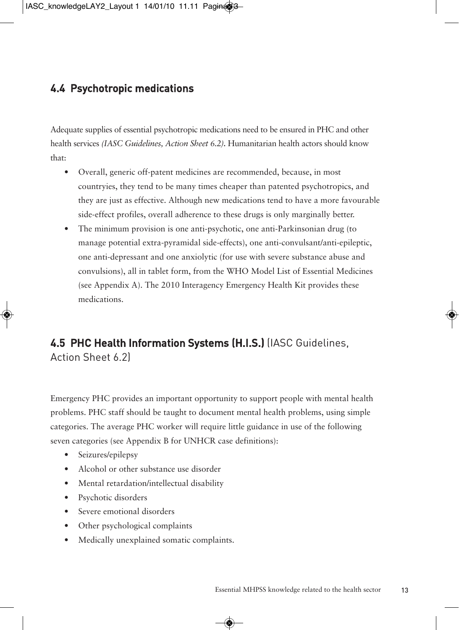## 4.4 Psychotropic medications

Adequate supplies of essential psychotropic medications need to be ensured in PHC and other health services *(IASC Guidelines, Action Sheet 6.2).* Humanitarian health actors should know that:

- Overall, generic off-patent medicines are recommended, because, in most countryies, they tend to be many times cheaper than patented psychotropics, and they are just as effective. Although new medications tend to have a more favourable side-effect profiles, overall adherence to these drugs is only marginally better.
- The minimum provision is one anti-psychotic, one anti-Parkinsonian drug (to manage potential extra-pyramidal side-effects), one anti-convulsant/anti-epileptic, one anti-depressant and one anxiolytic (for use with severe substance abuse and convulsions), all in tablet form, from the WHO Model List of Essential Medicines (see Appendix A). The 2010 Interagency Emergency Health Kit provides these medications.

## 4.5 PHC Health Information Systems (H.I.S.) (IASC Guidelines, Action Sheet 6.2)

Emergency PHC provides an important opportunity to support people with mental health problems. PHC staff should be taught to document mental health problems, using simple categories. The average PHC worker will require little guidance in use of the following seven categories (see Appendix B for UNHCR case definitions):

- Seizures/epilepsy
- Alcohol or other substance use disorder
- Mental retardation/intellectual disability
- Psychotic disorders
- Severe emotional disorders
- Other psychological complaints
- Medically unexplained somatic complaints.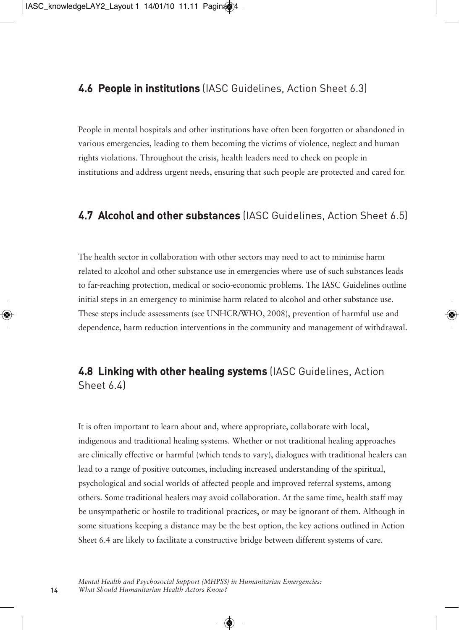## 4.6 People in institutions (IASC Guidelines, Action Sheet 6.3)

People in mental hospitals and other institutions have often been forgotten or abandoned in various emergencies, leading to them becoming the victims of violence, neglect and human rights violations. Throughout the crisis, health leaders need to check on people in institutions and address urgent needs, ensuring that such people are protected and cared for.

## 4.7 Alcohol and other substances (IASC Guidelines, Action Sheet 6.5)

The health sector in collaboration with other sectors may need to act to minimise harm related to alcohol and other substance use in emergencies where use of such substances leads to far-reaching protection, medical or socio-economic problems. The IASC Guidelines outline initial steps in an emergency to minimise harm related to alcohol and other substance use. These steps include assessments (see UNHCR/WHO, 2008), prevention of harmful use and dependence, harm reduction interventions in the community and management of withdrawal.

## 4.8 Linking with other healing systems (IASC Guidelines, Action Sheet 6.4)

It is often important to learn about and, where appropriate, collaborate with local, indigenous and traditional healing systems. Whether or not traditional healing approaches are clinically effective or harmful (which tends to vary), dialogues with traditional healers can lead to a range of positive outcomes, including increased understanding of the spiritual, psychological and social worlds of affected people and improved referral systems, among others. Some traditional healers may avoid collaboration. At the same time, health staff may be unsympathetic or hostile to traditional practices, or may be ignorant of them. Although in some situations keeping a distance may be the best option, the key actions outlined in Action Sheet 6.4 are likely to facilitate a constructive bridge between different systems of care.

*Mental Health and Psychosocial Support (MHPSS) in Humanitarian Emergencies: What Should Humanitarian Health Actors Know?*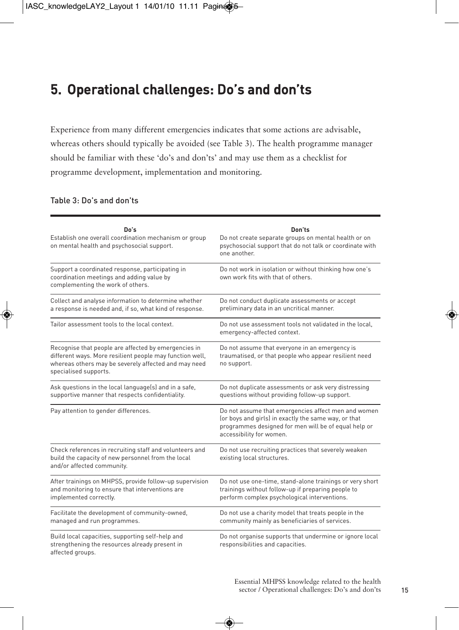# 5. Operational challenges: Do's and don'ts

Experience from many different emergencies indicates that some actions are advisable, whereas others should typically be avoided (see Table 3). The health programme manager should be familiar with these 'do's and don'ts' and may use them as a checklist for programme development, implementation and monitoring.

#### Table 3: Do's and don'ts

| Do's                                                                                                                                                                                              | Don'ts                                                                                                                                                                                          |
|---------------------------------------------------------------------------------------------------------------------------------------------------------------------------------------------------|-------------------------------------------------------------------------------------------------------------------------------------------------------------------------------------------------|
| Establish one overall coordination mechanism or group<br>on mental health and psychosocial support.                                                                                               | Do not create separate groups on mental health or on<br>psychosocial support that do not talk or coordinate with<br>one another.                                                                |
| Support a coordinated response, participating in<br>coordination meetings and adding value by<br>complementing the work of others.                                                                | Do not work in isolation or without thinking how one's<br>own work fits with that of others.                                                                                                    |
| Collect and analyse information to determine whether<br>a response is needed and, if so, what kind of response.                                                                                   | Do not conduct duplicate assessments or accept<br>preliminary data in an uncritical manner.                                                                                                     |
| Tailor assessment tools to the local context.                                                                                                                                                     | Do not use assessment tools not validated in the local.<br>emergency-affected context.                                                                                                          |
| Recognise that people are affected by emergencies in<br>different ways. More resilient people may function well,<br>whereas others may be severely affected and may need<br>specialised supports. | Do not assume that everyone in an emergency is<br>traumatised, or that people who appear resilient need<br>no support.                                                                          |
| Ask questions in the local language(s) and in a safe,<br>supportive manner that respects confidentiality.                                                                                         | Do not duplicate assessments or ask very distressing<br>questions without providing follow-up support.                                                                                          |
| Pay attention to gender differences.                                                                                                                                                              | Do not assume that emergencies affect men and women<br>(or boys and girls) in exactly the same way, or that<br>programmes designed for men will be of equal help or<br>accessibility for women. |
| Check references in recruiting staff and volunteers and<br>build the capacity of new personnel from the local<br>and/or affected community.                                                       | Do not use recruiting practices that severely weaken<br>existing local structures.                                                                                                              |
| After trainings on MHPSS, provide follow-up supervision<br>and monitoring to ensure that interventions are<br>implemented correctly.                                                              | Do not use one-time, stand-alone trainings or very short<br>trainings without follow-up if preparing people to<br>perform complex psychological interventions.                                  |
| Facilitate the development of community-owned,<br>managed and run programmes.                                                                                                                     | Do not use a charity model that treats people in the<br>community mainly as beneficiaries of services.                                                                                          |
| Build local capacities, supporting self-help and<br>strengthening the resources already present in<br>affected groups.                                                                            | Do not organise supports that undermine or ignore local<br>responsibilities and capacities.                                                                                                     |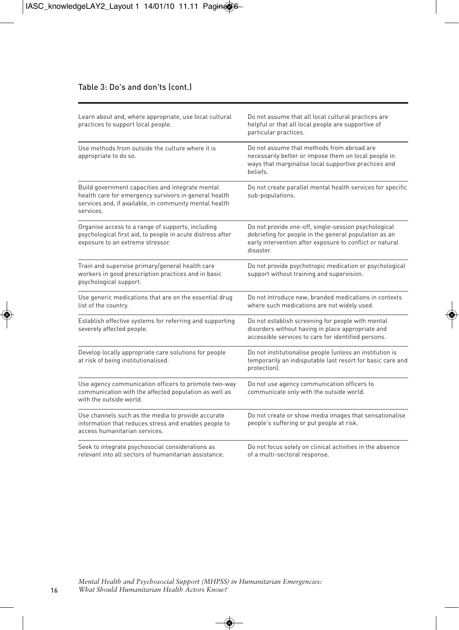#### Table 3: Do's and don'ts (cont.)

| Learn about and, where appropriate, use local cultural<br>practices to support local people.                                                                                     | Do not assume that all local cultural practices are<br>helpful or that all local people are supportive of<br>particular practices.                                                     |
|----------------------------------------------------------------------------------------------------------------------------------------------------------------------------------|----------------------------------------------------------------------------------------------------------------------------------------------------------------------------------------|
| Use methods from outside the culture where it is<br>appropriate to do so.                                                                                                        | Do not assume that methods from abroad are<br>necessarily better or impose them on local people in<br>ways that marginalise local supportive practices and<br>beliefs.                 |
| Build government capacities and integrate mental<br>health care for emergency survivors in general health<br>services and, if available, in community mental health<br>services. | Do not create parallel mental health services for specific<br>sub-populations.                                                                                                         |
| Organise access to a range of supports, including<br>psychological first aid, to people in acute distress after<br>exposure to an extreme stressor.                              | Do not provide one-off, single-session psychological<br>debriefing for people in the general population as an<br>early intervention after exposure to conflict or natural<br>disaster. |
| Train and supervise primary/general health care<br>workers in good prescription practices and in basic<br>psychological support.                                                 | Do not provide psychotropic medication or psychological<br>support without training and supervision.                                                                                   |
| Use generic medications that are on the essential drug<br>list of the country.                                                                                                   | Do not introduce new, branded medications in contexts<br>where such medications are not widely used.                                                                                   |
| Establish effective systems for referring and supporting<br>severely affected people.                                                                                            | Do not establish screening for people with mental<br>disorders without having in place appropriate and<br>accessible services to care for identified persons.                          |
| Develop locally appropriate care solutions for people<br>at risk of being institutionalised.                                                                                     | Do not institutionalise people (unless an institution is<br>temporarily an indisputable last resort for basic care and<br>protection).                                                 |
| Use agency communication officers to promote two-way<br>communication with the affected population as well as<br>with the outside world.                                         | Do not use agency communication officers to<br>communicate only with the outside world.                                                                                                |
| Use channels such as the media to provide accurate<br>information that reduces stress and enables people to<br>access humanitarian services.                                     | Do not create or show media images that sensationalise<br>people's suffering or put people at risk.                                                                                    |
| Seek to integrate psychosocial considerations as<br>relevant into all sectors of humanitarian assistance.                                                                        | Do not focus solely on clinical activities in the absence<br>of a multi-sectoral response.                                                                                             |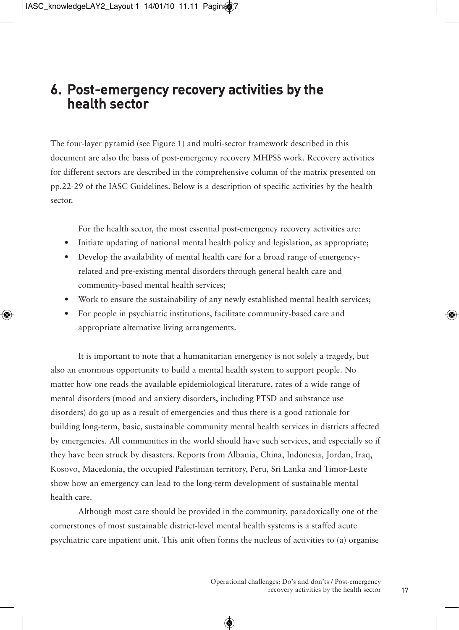# 6. Post-emergency recovery activities by the health sector

The four-layer pyramid (see Figure 1) and multi-sector framework described in this document are also the basis of post-emergency recovery MHPSS work. Recovery activities for different sectors are described in the comprehensive column of the matrix presented on pp.22-29 of the IASC Guidelines. Below is a description of specific activities by the health sector.

For the health sector, the most essential post-emergency recovery activities are:

- Initiate updating of national mental health policy and legislation, as appropriate;
- Develop the availability of mental health care for a broad range of emergencyrelated and pre-existing mental disorders through general health care and community-based mental health services;
- Work to ensure the sustainability of any newly established mental health services;
- For people in psychiatric institutions, facilitate community-based care and appropriate alternative living arrangements.

It is important to note that a humanitarian emergency is not solely a tragedy, but also an enormous opportunity to build a mental health system to support people. No matter how one reads the available epidemiological literature, rates of a wide range of mental disorders (mood and anxiety disorders, including PTSD and substance use disorders) do go up as a result of emergencies and thus there is a good rationale for building long-term, basic, sustainable community mental health services in districts affected by emergencies. All communities in the world should have such services, and especially so if they have been struck by disasters. Reports from Albania, China, Indonesia, Jordan, Iraq, Kosovo, Macedonia, the occupied Palestinian territory, Peru, Sri Lanka and Timor-Leste show how an emergency can lead to the long-term development of sustainable mental health care.

Although most care should be provided in the community, paradoxically one of the cornerstones of most sustainable district-level mental health systems is a staffed acute psychiatric care inpatient unit. This unit often forms the nucleus of activities to (a) organise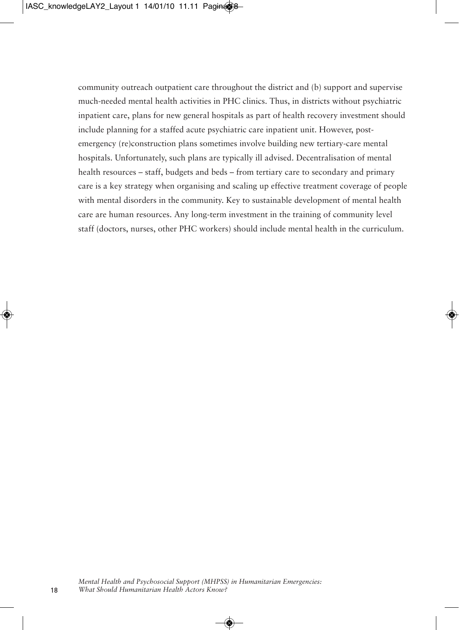community outreach outpatient care throughout the district and (b) support and supervise much-needed mental health activities in PHC clinics. Thus, in districts without psychiatric inpatient care, plans for new general hospitals as part of health recovery investment should include planning for a staffed acute psychiatric care inpatient unit. However, postemergency (re)construction plans sometimes involve building new tertiary-care mental hospitals. Unfortunately, such plans are typically ill advised. Decentralisation of mental health resources – staff, budgets and beds – from tertiary care to secondary and primary care is a key strategy when organising and scaling up effective treatment coverage of people with mental disorders in the community. Key to sustainable development of mental health care are human resources. Any long-term investment in the training of community level staff (doctors, nurses, other PHC workers) should include mental health in the curriculum.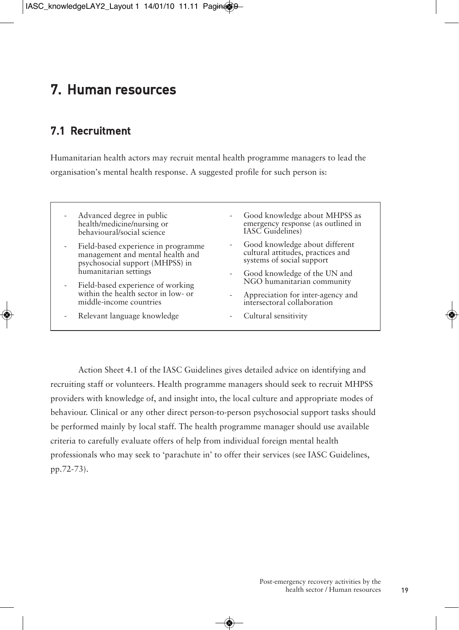# 7. Human resources

## 7.1 Recruitment

Humanitarian health actors may recruit mental health programme managers to lead the organisation's mental health response. A suggested profile for such person is:

| Advanced degree in public<br>health/medicine/nursing or<br>behavioural/social science |                                                                                                                              | - Good knowledge about MHPSS as<br>emergency response (as outlined in<br>IASC Guidelines)                                      |
|---------------------------------------------------------------------------------------|------------------------------------------------------------------------------------------------------------------------------|--------------------------------------------------------------------------------------------------------------------------------|
|                                                                                       | Field-based experience in programme<br>management and mental health and<br>psychosocial support (MHPSS) in                   | - Good knowledge about different<br>cultural attitudes, practices and<br>systems of social support                             |
|                                                                                       | humanitarian settings<br>Field-based experience of working<br>within the health sector in low- or<br>middle-income countries | Good knowledge of the UN and<br>NGO humanitarian community<br>Appreciation for inter-agency and<br>intersectoral collaboration |
|                                                                                       |                                                                                                                              |                                                                                                                                |

- Relevant language knowledge
- Cultural sensitivity

Action Sheet 4.1 of the IASC Guidelines gives detailed advice on identifying and recruiting staff or volunteers. Health programme managers should seek to recruit MHPSS providers with knowledge of, and insight into, the local culture and appropriate modes of behaviour. Clinical or any other direct person-to-person psychosocial support tasks should be performed mainly by local staff. The health programme manager should use available criteria to carefully evaluate offers of help from individual foreign mental health professionals who may seek to 'parachute in' to offer their services (see IASC Guidelines, pp.72-73).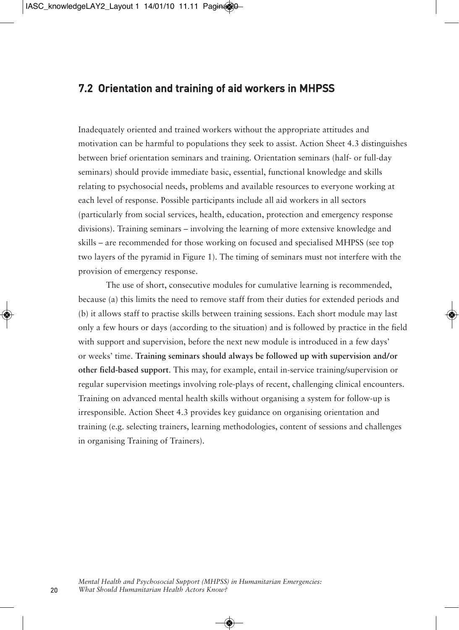### 7.2 Orientation and training of aid workers in MHPSS

Inadequately oriented and trained workers without the appropriate attitudes and motivation can be harmful to populations they seek to assist. Action Sheet 4.3 distinguishes between brief orientation seminars and training. Orientation seminars (half- or full-day seminars) should provide immediate basic, essential, functional knowledge and skills relating to psychosocial needs, problems and available resources to everyone working at each level of response. Possible participants include all aid workers in all sectors (particularly from social services, health, education, protection and emergency response divisions). Training seminars – involving the learning of more extensive knowledge and skills – are recommended for those working on focused and specialised MHPSS (see top two layers of the pyramid in Figure 1). The timing of seminars must not interfere with the provision of emergency response.

The use of short, consecutive modules for cumulative learning is recommended, because (a) this limits the need to remove staff from their duties for extended periods and (b) it allows staff to practise skills between training sessions. Each short module may last only a few hours or days (according to the situation) and is followed by practice in the field with support and supervision, before the next new module is introduced in a few days' or weeks' time. **Training seminars should always be followed up with supervision and/or other field-based support**. This may, for example, entail in-service training/supervision or regular supervision meetings involving role-plays of recent, challenging clinical encounters. Training on advanced mental health skills without organising a system for follow-up is irresponsible. Action Sheet 4.3 provides key guidance on organising orientation and training (e.g. selecting trainers, learning methodologies, content of sessions and challenges in organising Training of Trainers).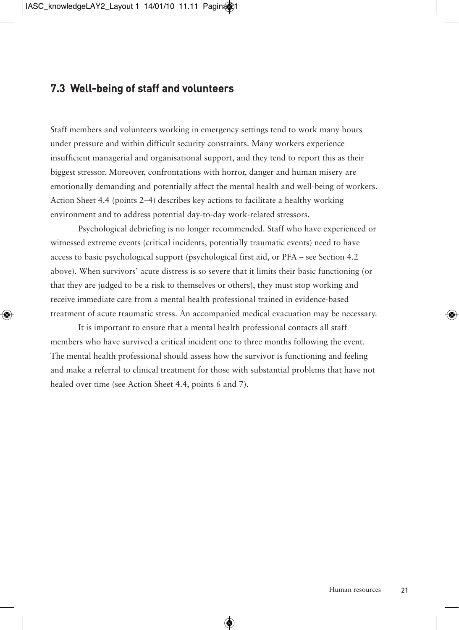## 7.3 Well-being of staff and volunteers

Staff members and volunteers working in emergency settings tend to work many hours under pressure and within difficult security constraints. Many workers experience insufficient managerial and organisational support, and they tend to report this as their biggest stressor. Moreover, confrontations with horror, danger and human misery are emotionally demanding and potentially affect the mental health and well-being of workers. Action Sheet 4.4 (points 2–4) describes key actions to facilitate a healthy working environment and to address potential day-to-day work-related stressors.

Psychological debriefing is no longer recommended. Staff who have experienced or witnessed extreme events (critical incidents, potentially traumatic events) need to have access to basic psychological support (psychological first aid, or PFA – see Section 4.2 above). When survivors' acute distress is so severe that it limits their basic functioning (or that they are judged to be a risk to themselves or others), they must stop working and receive immediate care from a mental health professional trained in evidence-based treatment of acute traumatic stress. An accompanied medical evacuation may be necessary.

It is important to ensure that a mental health professional contacts all staff members who have survived a critical incident one to three months following the event. The mental health professional should assess how the survivor is functioning and feeling and make a referral to clinical treatment for those with substantial problems that have not healed over time (see Action Sheet 4.4, points 6 and 7).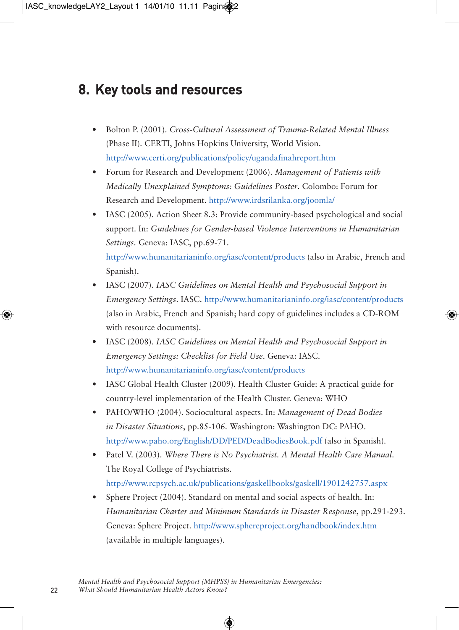# 8. Key tools and resources

- Bolton P. (2001). *Cross-Cultural Assessment of Trauma-Related Mental Illness* (Phase II). CERTI, Johns Hopkins University, World Vision. http://www.certi.org/publications/policy/ugandafinahreport.htm
- Forum for Research and Development (2006). *Management of Patients with Medically Unexplained Symptoms: Guidelines Poster*. Colombo: Forum for Research and Development. http://www.irdsrilanka.org/joomla/
- IASC (2005). Action Sheet 8.3: Provide community-based psychological and social support. In: *Guidelines for Gender-based Violence Interventions in Humanitarian Settings.* Geneva: IASC, pp.69-71. http://www.humanitarianinfo.org/iasc/content/products (also in Arabic, French and

Spanish).

- IASC (2007). *IASC Guidelines on Mental Health and Psychosocial Support in Emergency Settings*. IASC. http://www.humanitarianinfo.org/iasc/content/products (also in Arabic, French and Spanish; hard copy of guidelines includes a CD-ROM with resource documents).
- IASC (2008). *IASC Guidelines on Mental Health and Psychosocial Support in Emergency Settings: Checklist for Field Use*. Geneva: IASC. http://www.humanitarianinfo.org/iasc/content/products
- IASC Global Health Cluster (2009). Health Cluster Guide: A practical guide for country-level implementation of the Health Cluster. Geneva: WHO
- PAHO/WHO (2004). Sociocultural aspects. In: *Management of Dead Bodies in Disaster Situations*, pp.85-106*.* Washington: Washington DC: PAHO. http://www.paho.org/English/DD/PED/DeadBodiesBook.pdf (also in Spanish).
- Patel V. (2003). *Where There is No Psychiatrist. A Mental Health Care Manual*. The Royal College of Psychiatrists. http://www.rcpsych.ac.uk/publications/gaskellbooks/gaskell/1901242757.aspx
- Sphere Project (2004). Standard on mental and social aspects of health*.* In: *Humanitarian Charter and Minimum Standards in Disaster Response*, pp.291-293. Geneva: Sphere Project. http://www.sphereproject.org/handbook/index.htm (available in multiple languages).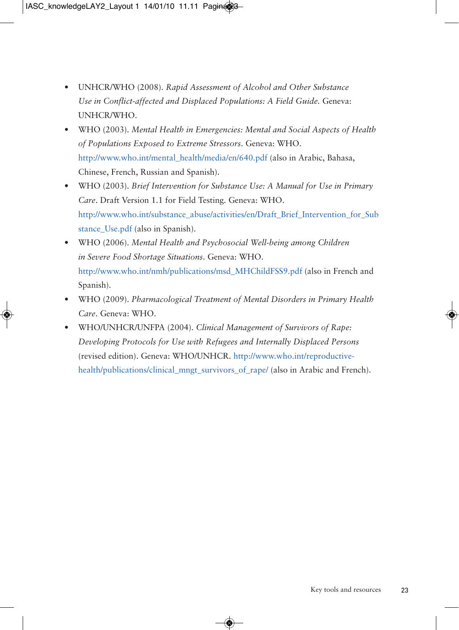- UNHCR/WHO (2008). *Rapid Assessment of Alcohol and Other Substance Use in Conflict-affected and Displaced Populations: A Field Guide.* Geneva: UNHCR/WHO.
- WHO (2003). *Mental Health in Emergencies: Mental and Social Aspects of Health of Populations Exposed to Extreme Stressors*. Geneva: WHO. http://www.who.int/mental\_health/media/en/640.pdf (also in Arabic, Bahasa, Chinese, French, Russian and Spanish).
- WHO (2003). *Brief Intervention for Substance Use: A Manual for Use in Primary Care*. Draft Version 1.1 for Field Testing. Geneva: WHO. http://www.who.int/substance\_abuse/activities/en/Draft\_Brief\_Intervention\_for\_Sub stance\_Use.pdf (also in Spanish).
- WHO (2006). *Mental Health and Psychosocial Well-being among Children in Severe Food Shortage Situations*. Geneva: WHO. http://www.who.int/nmh/publications/msd\_MHChildFSS9.pdf (also in French and Spanish).
- WHO (2009). *Pharmacological Treatment of Mental Disorders in Primary Health Care*. Geneva: WHO.
- WHO/UNHCR/UNFPA (2004). *Clinical Management of Survivors of Rape: Developing Protocols for Use with Refugees and Internally Displaced Persons* (revised edition). Geneva: WHO/UNHCR. http://www.who.int/reproductivehealth/publications/clinical\_mngt\_survivors\_of\_rape/ (also in Arabic and French).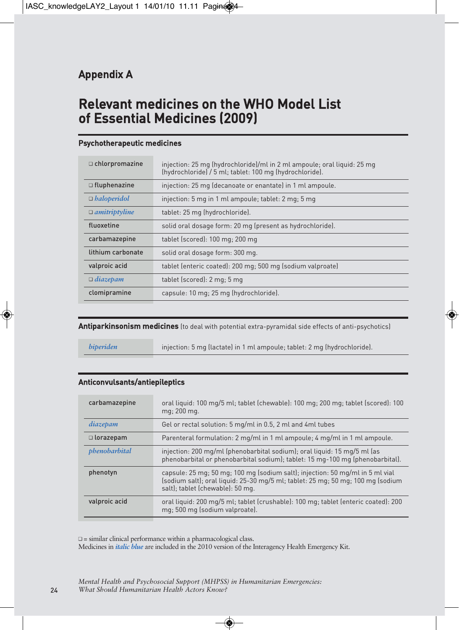## Appendix A

# Relevant medicines on the WHO Model List of Essential Medicines (2009)

#### Psychotherapeutic medicines

| $\Box$ chlorpromazine | injection: 25 mg (hydrochloride)/ml in 2 ml ampoule; oral liquid: 25 mg<br>(hydrochloride) / 5 ml; tablet: 100 mg (hydrochloride). |
|-----------------------|------------------------------------------------------------------------------------------------------------------------------------|
| $\Box$ fluphenazine   | injection: 25 mg (decanoate or enantate) in 1 ml ampoule.                                                                          |
| $\Box$ haloperidol    | injection: 5 mg in 1 ml ampoule; tablet: 2 mg; 5 mg                                                                                |
| $\Box$ amitriptyline  | tablet: 25 mg (hydrochloride).                                                                                                     |
| fluoxetine            | solid oral dosage form: 20 mg (present as hydrochloride).                                                                          |
| carbamazepine         | tablet (scored): 100 mg; 200 mg                                                                                                    |
| lithium carbonate     | solid oral dosage form: 300 mg.                                                                                                    |
| valproic acid         | tablet (enteric coated): 200 mg; 500 mg (sodium valproate)                                                                         |
| $\Box$ diazepam       | tablet (scored): 2 mg; 5 mg                                                                                                        |
| clomipramine          | capsule: 10 mg; 25 mg (hydrochloride).                                                                                             |

Antiparkinsonism medicines (to deal with potential extra-pyramidal side effects of anti-psychotics)

24

*biperiden* injection: 5 mg (lactate) in 1 ml ampoule; tablet: 2 mg (hydrochloride).

#### Anticonvulsants/antiepileptics

| carbamazepine    | oral liquid: 100 mg/5 ml; tablet (chewable): 100 mg; 200 mg; tablet (scored): 100<br>mg; 200 mg.                                                                                                     |
|------------------|------------------------------------------------------------------------------------------------------------------------------------------------------------------------------------------------------|
| diazepam         | Gel or rectal solution: 5 mg/ml in 0.5, 2 ml and 4ml tubes                                                                                                                                           |
| $\Box$ lorazepam | Parenteral formulation: 2 mg/ml in 1 ml ampoule; 4 mg/ml in 1 ml ampoule.                                                                                                                            |
| phenobarbital    | injection: 200 mg/ml (phenobarbital sodium); oral liquid: 15 mg/5 ml (as<br>phenobarbital or phenobarbital sodium); tablet: 15 mg-100 mg (phenobarbital).                                            |
| phenotyn         | capsule: 25 mg; 50 mg; 100 mg (sodium salt); injection: 50 mg/ml in 5 ml vial<br>(sodium salt); oral liquid: 25-30 mg/5 ml; tablet: 25 mg; 50 mg; 100 mg (sodium<br>salt); tablet (chewable): 50 mg. |
| valproic acid    | oral liquid: 200 mq/5 ml; tablet (crushable): 100 mq; tablet (enteric coated): 200<br>mg; 500 mg (sodium valproate).                                                                                 |

**❏** = similar clinical performance within a pharmacological class.

Medicines in *italic blue* are included in the 2010 version of the Interagency Health Emergency Kit.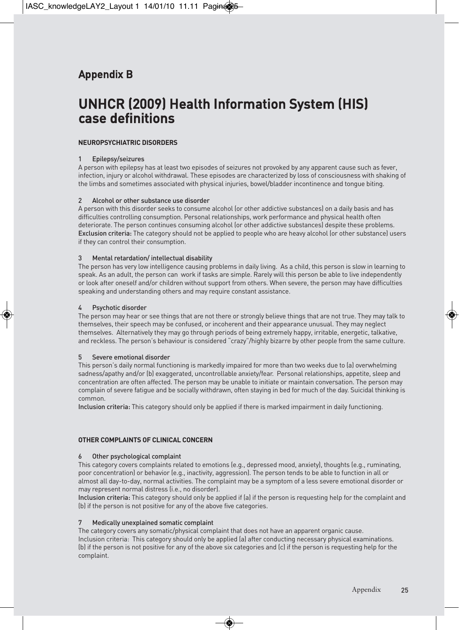# Appendix B

# UNHCR (2009) Health Information System (HIS) case definitions

#### **NEUROPSYCHIATRIC DISORDERS**

#### 1 Epilepsy/seizures

A person with epilepsy has at least two episodes of seizures not provoked by any apparent cause such as fever, infection, injury or alcohol withdrawal. These episodes are characterized by loss of consciousness with shaking of the limbs and sometimes associated with physical injuries, bowel/bladder incontinence and tongue biting.

#### 2 Alcohol or other substance use disorder

A person with this disorder seeks to consume alcohol (or other addictive substances) on a daily basis and has difficulties controlling consumption. Personal relationships, work performance and physical health often deteriorate. The person continues consuming alcohol (or other addictive substances) despite these problems. Exclusion criteria: The category should not be applied to people who are heavy alcohol (or other substance) users if they can control their consumption.

#### 3 Mental retardation/ intellectual disability

The person has very low intelligence causing problems in daily living. As a child, this person is slow in learning to speak. As an adult, the person can work if tasks are simple. Rarely will this person be able to live independently or look after oneself and/or children without support from others. When severe, the person may have difficulties speaking and understanding others and may require constant assistance.

#### 4 Psychotic disorder

The person may hear or see things that are not there or strongly believe things that are not true. They may talk to themselves, their speech may be confused, or incoherent and their appearance unusual. They may neglect themselves. Alternatively they may go through periods of being extremely happy, irritable, energetic, talkative, and reckless. The person's behaviour is considered "crazy"/highly bizarre by other people from the same culture.

#### 5 Severe emotional disorder

This person's daily normal functioning is markedly impaired for more than two weeks due to (a) overwhelming sadness/apathy and/or (b) exaggerated, uncontrollable anxiety/fear. Personal relationships, appetite, sleep and concentration are often affected. The person may be unable to initiate or maintain conversation. The person may complain of severe fatigue and be socially withdrawn, often staying in bed for much of the day. Suicidal thinking is common.

Inclusion criteria: This category should only be applied if there is marked impairment in daily functioning.

#### **OTHER COMPLAINTS OF CLINICAL CONCERN**

#### 6 Other psychological complaint

This category covers complaints related to emotions (e.g., depressed mood, anxiety), thoughts (e.g., ruminating, poor concentration) or behavior (e.g., inactivity, aggression). The person tends to be able to function in all or almost all day-to-day, normal activities. The complaint may be a symptom of a less severe emotional disorder or may represent normal distress (i.e., no disorder).

Inclusion criteria: This category should only be applied if (a) if the person is requesting help for the complaint and (b) if the person is not positive for any of the above five categories.

#### 7 Medically unexplained somatic complaint

The category covers any somatic/physical complaint that does not have an apparent organic cause. Inclusion criteria: This category should only be applied (a) after conducting necessary physical examinations. (b) if the person is not positive for any of the above six categories and (c) if the person is requesting help for the complaint.